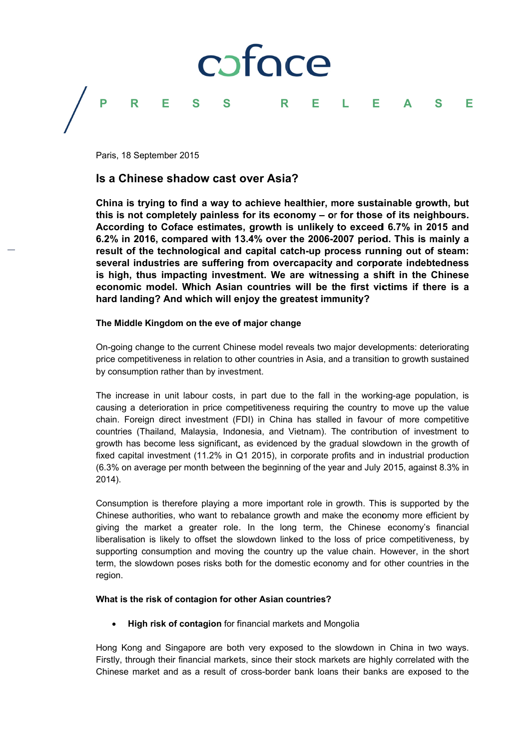

Paris. 18 September 2015

# Is a Chinese shadow cast over Asia?

China is trying to find a way to achieve healthier, more sustainable growth, but this is not completely painless for its economy - or for those of its neighbours. According to Coface estimates, growth is unlikely to exceed 6.7% in 2015 and 6.2% in 2016, compared with 13.4% over the 2006-2007 period. This is mainly a result of the technological and capital catch-up process running out of steam: several industries are suffering from overcapacity and corporate indebtedness is high, thus impacting investment. We are witnessing a shift in the Chinese economic model. Which Asian countries will be the first victims if there is a hard landing? And which will eniov the greatest immunity?

# The Middle Kingdom on the eve of major change

On-going change to the current Chinese model reveals two major developments: deteriorating price competitiveness in relation to other countries in Asia, and a transition to growth sustained by consumption rather than by investment.

The increase in unit labour costs, in part due to the fall in the working-age population, is causing a deterioration in price competitiveness requiring the country to move up the value chain. Foreign direct investment (FDI) in China has stalled in favour of more competitive countries (Thailand, Malaysia, Indonesia, and Vietnam). The contribution of investment to growth has become less significant, as evidenced by the gradual slowdown in the growth of fixed capital investment (11.2% in Q1 2015), in corporate profits and in industrial production (6.3% on average per month between the beginning of the year and July 2015, against 8.3% in 2014).

Consumption is therefore playing a more important role in growth. This is supported by the Chinese authorities, who want to rebalance growth and make the economy more efficient by giving the market a greater role. In the long term, the Chinese economy's financial liberalisation is likely to offset the slowdown linked to the loss of price competitiveness, by supporting consumption and moving the country up the value chain. However, in the short term, the slowdown poses risks both for the domestic economy and for other countries in the region.

# What is the risk of contagion for other Asian countries?

High risk of contagion for financial markets and Mongolia

Hong Kong and Singapore are both very exposed to the slowdown in China in two ways. Firstly, through their financial markets, since their stock markets are highly correlated with the Chinese market and as a result of cross-border bank loans their banks are exposed to the